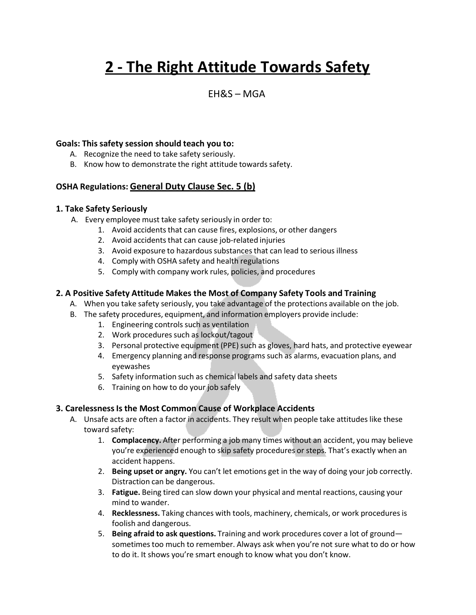# **2 - The Right Attitude Towards Safety**

### $FHRS - MGA$

#### **Goals: This safety session should teach you to:**

- A. Recognize the need to take safety seriously.
- B. Know how to demonstrate the right attitude towards safety.

#### **OSHA Regulations: General Duty Clause Sec. 5 (b)**

#### **1. Take Safety Seriously**

- A. Every employee must take safety seriously in order to:
	- 1. Avoid accidents that can cause fires, explosions, or other dangers
	- 2. Avoid accidents that can cause job-related injuries
	- 3. Avoid exposure to hazardous substances that can lead to serious illness
	- 4. Comply with OSHA safety and health regulations
	- 5. Comply with company work rules, policies, and procedures

#### **2. A Positive Safety Attitude Makes the Most of Company Safety Tools and Training**

- A. When you take safety seriously, you take advantage of the protections available on the job.
- B. The safety procedures, equipment, and information employers provide include:
	- 1. Engineering controls such as ventilation
	- 2. Work procedures such as lockout/tagout
	- 3. Personal protective equipment (PPE) such as gloves, hard hats, and protective eyewear
	- 4. Emergency planning and response programs such as alarms, evacuation plans, and eyewashes
	- 5. Safety information such as chemical labels and safety data sheets
	- 6. Training on how to do your job safely

#### **3. CarelessnessIs the Most Common Cause of Workplace Accidents**

- A. Unsafe acts are often a factor in accidents. They result when people take attitudes like these toward safety:
	- 1. **Complacency.** After performing a job many times without an accident, you may believe you're experienced enough to skip safety procedures or steps. That's exactly when an accident happens.
	- 2. **Being upset or angry.** You can't let emotions get in the way of doing your job correctly. Distraction can be dangerous.
	- 3. **Fatigue.** Being tired can slow down your physical and mental reactions, causing your mind to wander.
	- 4. **Recklessness.** Taking chances with tools, machinery, chemicals, or work proceduresis foolish and dangerous.
	- 5. **Being afraid to ask questions.** Training and work procedures cover a lot of ground sometimes too much to remember. Always ask when you're not sure what to do or how to do it. It shows you're smart enough to know what you don't know.